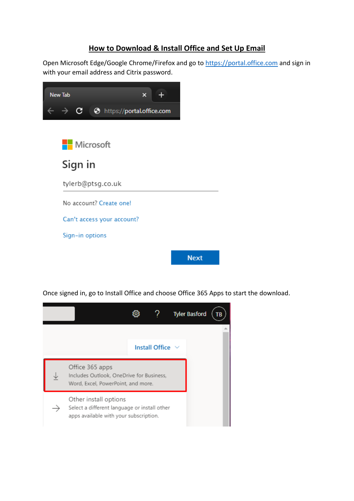## **How to Download & Install Office and Set Up Email**

Open Microsoft Edge/Google Chrome/Firefox and go to [https://portal.office.com](https://portal.office.com/) and sign in with your email address and Citrix password.



Once signed in, go to Install Office and choose Office 365 Apps to start the download.

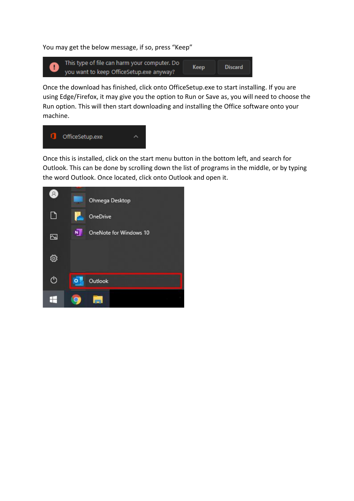You may get the below message, if so, press "Keep"



Once the download has finished, click onto OfficeSetup.exe to start installing. If you are using Edge/Firefox, it may give you the option to Run or Save as, you will need to choose the Run option. This will then start downloading and installing the Office software onto your machine.



Once this is installed, click on the start menu button in the bottom left, and search for Outlook. This can be done by scrolling down the list of programs in the middle, or by typing the word Outlook. Once located, click onto Outlook and open it.

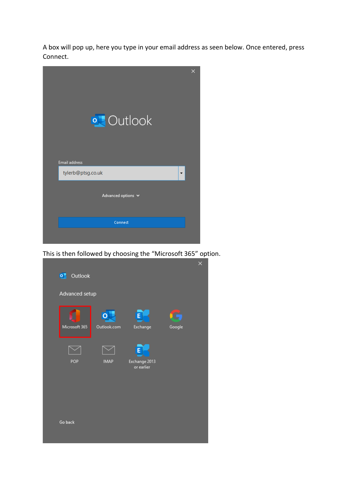A box will pop up, here you type in your email address as seen below. Once entered, press Connect.



This is then followed by choosing the "Microsoft 365" option.

| Outlook<br>$\bullet$ |             |                             |        | × |
|----------------------|-------------|-----------------------------|--------|---|
| Advanced setup       |             |                             |        |   |
|                      |             | E                           |        |   |
| Microsoft 365        | Outlook.com | Exchange                    | Google |   |
|                      |             | E                           |        |   |
| POP                  | <b>IMAP</b> | Exchange 2013<br>or earlier |        |   |
|                      |             |                             |        |   |
|                      |             |                             |        |   |
|                      |             |                             |        |   |
| Go back              |             |                             |        |   |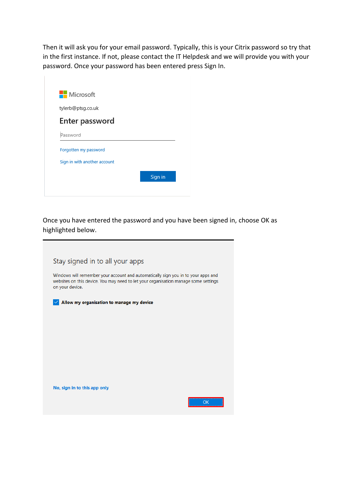Then it will ask you for your email password. Typically, this is your Citrix password so try that in the first instance. If not, please contact the IT Helpdesk and we will provide you with your password. Once your password has been entered press Sign In.



Once you have entered the password and you have been signed in, choose OK as highlighted below.

| Stay signed in to all your apps                                                                                                                                                             |    |
|---------------------------------------------------------------------------------------------------------------------------------------------------------------------------------------------|----|
|                                                                                                                                                                                             |    |
| Windows will remember your account and automatically sign you in to your apps and<br>websites on this device. You may need to let your organisation manage some settings<br>on your device. |    |
| Allow my organisation to manage my device                                                                                                                                                   |    |
|                                                                                                                                                                                             |    |
|                                                                                                                                                                                             |    |
|                                                                                                                                                                                             |    |
|                                                                                                                                                                                             |    |
|                                                                                                                                                                                             |    |
| No, sign in to this app only                                                                                                                                                                |    |
|                                                                                                                                                                                             | OK |